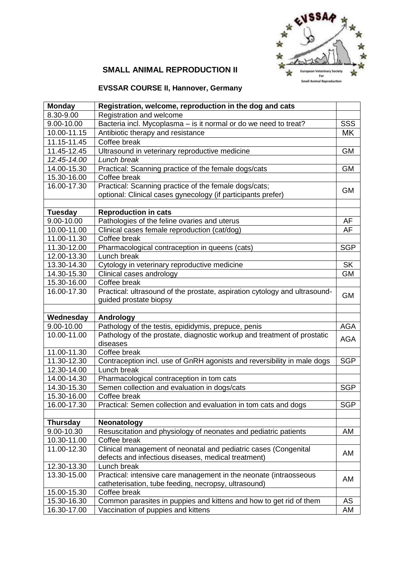

## **SMALL ANIMAL REPRODUCTION II**

# **EVSSAR COURSE II, Hannover, Germany**

| <b>Monday</b>   | Registration, welcome, reproduction in the dog and cats                                   |            |
|-----------------|-------------------------------------------------------------------------------------------|------------|
| 8.30-9.00       | Registration and welcome                                                                  |            |
| 9.00-10.00      | Bacteria incl. Mycoplasma - is it normal or do we need to treat?                          | SSS        |
| 10.00-11.15     | Antibiotic therapy and resistance                                                         | MK         |
| 11.15-11.45     | Coffee break                                                                              |            |
| 11.45-12.45     | Ultrasound in veterinary reproductive medicine                                            | <b>GM</b>  |
| 12.45-14.00     | Lunch break                                                                               |            |
| 14.00-15.30     | Practical: Scanning practice of the female dogs/cats                                      | <b>GM</b>  |
| 15.30-16.00     | Coffee break                                                                              |            |
| 16.00-17.30     | Practical: Scanning practice of the female dogs/cats;                                     | <b>GM</b>  |
|                 | optional: Clinical cases gynecology (if participants prefer)                              |            |
|                 |                                                                                           |            |
| <b>Tuesday</b>  | <b>Reproduction in cats</b>                                                               |            |
| 9.00-10.00      | Pathologies of the feline ovaries and uterus                                              | AF         |
| 10.00-11.00     | Clinical cases female reproduction (cat/dog)                                              | AF         |
| 11.00-11.30     | Coffee break                                                                              |            |
| 11.30-12.00     | Pharmacological contraception in queens (cats)                                            | <b>SGP</b> |
| 12.00-13.30     | Lunch break                                                                               |            |
| 13.30-14.30     | Cytology in veterinary reproductive medicine                                              | <b>SK</b>  |
| 14.30-15.30     | Clinical cases andrology                                                                  | <b>GM</b>  |
| 15.30-16.00     | Coffee break                                                                              |            |
| 16.00-17.30     | Practical: ultrasound of the prostate, aspiration cytology and ultrasound-                | <b>GM</b>  |
|                 | guided prostate biopsy                                                                    |            |
|                 |                                                                                           |            |
| Wednesday       | Andrology                                                                                 |            |
| 9.00-10.00      | Pathology of the testis, epididymis, prepuce, penis                                       | <b>AGA</b> |
| 10.00-11.00     | Pathology of the prostate, diagnostic workup and treatment of prostatic<br>diseases       | <b>AGA</b> |
| 11.00-11.30     | Coffee break                                                                              |            |
| 11.30-12.30     | Contraception incl. use of GnRH agonists and reversibility in male dogs                   | <b>SGP</b> |
| 12.30-14.00     | Lunch break                                                                               |            |
| 14.00-14.30     |                                                                                           |            |
| 14.30-15.30     | Pharmacological contraception in tom cats<br>Semen collection and evaluation in dogs/cats | <b>SGP</b> |
| 15.30-16.00     | Coffee break                                                                              |            |
| 16.00-17.30     | Practical: Semen collection and evaluation in tom cats and dogs                           | <b>SGP</b> |
|                 |                                                                                           |            |
| <b>Thursday</b> | <b>Neonatology</b>                                                                        |            |
| 9.00-10.30      | Resuscitation and physiology of neonates and pediatric patients                           | AM         |
| 10.30-11.00     | Coffee break                                                                              |            |
| 11.00-12.30     | Clinical management of neonatal and pediatric cases (Congenital                           |            |
|                 | defects and infectious diseases, medical treatment)                                       | AM         |
| 12.30-13.30     | Lunch break                                                                               |            |
| 13.30-15.00     | Practical: intensive care management in the neonate (intraosseous                         |            |
|                 | catheterisation, tube feeding, necropsy, ultrasound)                                      | AM         |
| 15.00-15.30     | Coffee break                                                                              |            |
| 15.30-16.30     |                                                                                           | AS         |
|                 | Common parasites in puppies and kittens and how to get rid of them                        |            |